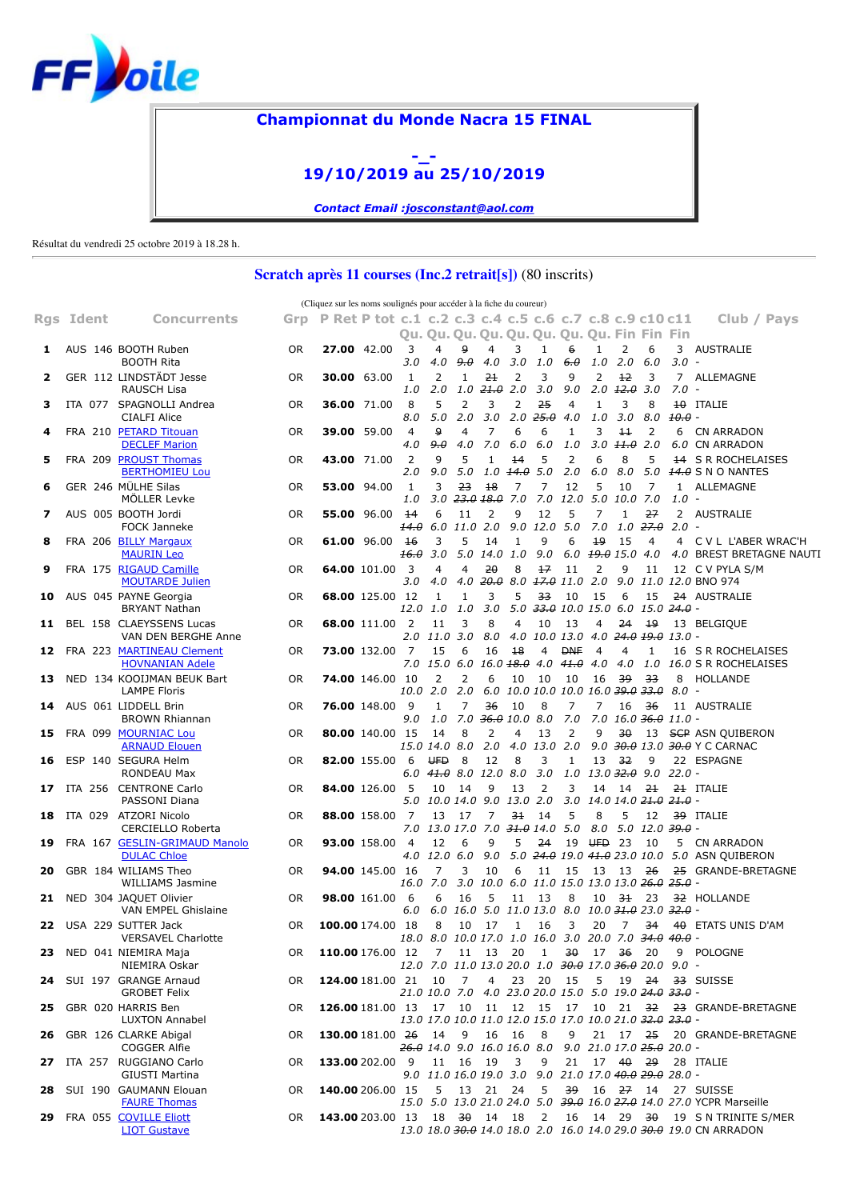

## <span id="page-0-0"></span>**Championnat du Monde Nacra 15 FINAL**



*Contact Email [:josconstant@aol.com](mailto:josconstant@aol.com)*

Résultat du vendredi 25 octobre 2019 à 18.28 h.

## **Scratch après 11 courses (Inc.2 retrait[s])** (80 inscrits)

|     |           |                                                     |     | (Cliquez sur les noms soulignés pour accéder à la fiche du coureur) |                        |                                |                                                                                          |                |                            |                                    |                     |                                                           |                       |                                    |                                                 |              |                                                                                                                |
|-----|-----------|-----------------------------------------------------|-----|---------------------------------------------------------------------|------------------------|--------------------------------|------------------------------------------------------------------------------------------|----------------|----------------------------|------------------------------------|---------------------|-----------------------------------------------------------|-----------------------|------------------------------------|-------------------------------------------------|--------------|----------------------------------------------------------------------------------------------------------------|
|     | Rgs Ident | <b>Concurrents</b>                                  | Grp | P Ret P tot c.1 c.2 c.3 c.4 c.5 c.6 c.7 c.8 c.9 c10 c11             |                        |                                | Qu. Qu. Qu. Qu. Qu. Qu. Qu. Qu. Fin Fin Fin                                              |                |                            |                                    |                     |                                                           |                       |                                    |                                                 |              | Club / Pays                                                                                                    |
| 1   |           | AUS 146 BOOTH Ruben<br><b>BOOTH Rita</b>            | 0R  | 27.00 42.00                                                         |                        | 3<br>3.0                       | 4<br>4.0                                                                                 | 9<br>9.0       | 4<br>4.0                   | 3<br>3.0                           | 1<br>1.0            | 6<br>$6.\theta$                                           | 1<br>1.0              | 2<br>2.0                           | 6<br>6.0                                        | 3<br>3.0     | AUSTRALIE<br>$\overline{\phantom{a}}$                                                                          |
| 2   |           | GER 112 LINDSTÄDT Jesse<br><b>RAUSCH Lisa</b>       | OR  | <b>30.00</b> 63.00                                                  |                        | 1<br>1.0                       | 2<br>2.0                                                                                 | 1              | 21<br>$1.0$ $21.0$ $2.0$   | 2                                  | 3<br>3.0            | 9<br>9.0                                                  | 2                     | 12<br>$2.0 \pm 2.0$                | 3<br>3.0                                        | 7.0          | 7 ALLEMAGNE<br>$\overline{\phantom{a}}$                                                                        |
| 3   |           | ITA 077 SPAGNOLLI Andrea<br><b>CIALFI Alice</b>     | 0R  | <b>36.00</b> 71.00                                                  |                        | 8<br>8.0                       | 5<br>5.0                                                                                 | 2<br>2.0       | 3<br>3.0                   | 2<br>2.0                           | 25<br>25.0          | 4<br>4.0                                                  | 1<br>1.0              | 3<br>3.0                           | 8<br>8.0                                        | $10.0 -$     | <b>10 ITALIE</b>                                                                                               |
| 4   |           | FRA 210 PETARD Titouan<br><b>DECLEF Marion</b>      | 0R  | 39.00 59.00                                                         |                        | $\overline{4}$<br>4.0          | 9<br>9.0                                                                                 | 4<br>4.0       | 7<br>7.0                   | 6<br>6.0                           | 6<br>6.0            | 1<br>1.0                                                  | 3                     | $\pm$<br>$3.0$ $\pm 1.0$ 2.0       | 2                                               | 6            | CN ARRADON<br>6.0 CN ARRADON                                                                                   |
| 5   |           | FRA 209 PROUST Thomas<br><b>BERTHOMIEU Lou</b>      | 0R  | 43.00 71.00                                                         |                        | 2<br>2.0                       | 9<br>9.0                                                                                 | 5<br>5.0       | $\mathbf{1}$<br>1.0        | 14<br>14.0                         | 5<br>5.0            | 2<br>2.0                                                  | 6<br>6.0              | 8<br>8.0                           | 5<br>5.0                                        | $^{14}$      | <b>S R ROCHELAISES</b><br><b>14.0</b> S N O NANTES                                                             |
| 6   |           | GER 246 MÜLHE Silas<br>MÖLLER Levke                 | 0R  | 53.00 94.00                                                         |                        | 1<br>1.0                       | 3<br>3.0                                                                                 | 23             | 18<br><del>23.0 18.0</del> | 7<br>7.0                           | 7                   | 12<br>$7.0$ 12.0                                          | 5<br>5.0              | 10<br>10.0                         | 7<br>7.0                                        | 1.0          | 1 ALLEMAGNE<br>$\overline{\phantom{a}}$                                                                        |
| 7   |           | AUS 005 BOOTH Jordi<br>FOCK Janneke                 | 0R  | 55.00 96.00                                                         |                        | 14<br>14.0                     | 6<br>6.0                                                                                 | 11<br>11.0 2.0 | 2                          | 9                                  | 12<br>$9.0$ 12.0    | 5<br>5.0                                                  | $\overline{7}$<br>7.0 | $\mathbf{1}$                       | 27<br>$1.0$ $27.0$                              | 2.0          | 2 AUSTRALIE                                                                                                    |
| 8   |           | FRA 206 BILLY Margaux<br><b>MAURIN Leo</b>          | 0R  | <b>61.00</b> 96.00                                                  |                        | 16<br>16.0                     | 3<br>3.0                                                                                 | 5              | 14<br>5.0 14.0 1.0         | 1                                  | 9<br>9.0            | 6                                                         | 19                    | 15<br>6.0 <del>19.0</del> 15.0 4.0 | 4                                               |              | 4 C V L L'ABER WRAC'H<br>4.0 BREST BRETAGNE NAUTI                                                              |
| 9   |           | FRA 175 RIGAUD Camille<br><b>MOUTARDE Julien</b>    | 0R  |                                                                     | <b>64.00 101.00</b>    | $\overline{\mathbf{3}}$<br>3.0 | $\overline{4}$<br>4.0                                                                    | 4<br>4.0       | 20                         | 8                                  | 17                  | 11<br>$20.0$ 8.0 $17.0$ 11.0 2.0                          | 2                     | 9                                  | 11                                              |              | 12 C V PYLA S/M<br>9.0 11.0 12.0 BNO 974                                                                       |
| 10  |           | AUS 045 PAYNE Georgia<br><b>BRYANT Nathan</b>       | 0R  |                                                                     | <b>68.00 125.00 12</b> | 12.0                           | 1<br>1.0                                                                                 | 1<br>1.0       | 3<br>3.0                   | 5<br>5.0                           | 33                  | 10<br>$33.0$ 10.0 15.0 6.0 15.0 $24.0$ -                  | 15                    | 6                                  | 15                                              |              | 24 AUSTRALIE                                                                                                   |
| 11  |           | BEL 158 CLAEYSSENS Lucas<br>VAN DEN BERGHE Anne     | 0R  |                                                                     | 68.00 111.00           | $\overline{2}$<br>2.0          | 11<br>11.0                                                                               | 3<br>3.0       | 8<br>8.0                   | 4<br>4.0                           | 10                  | 13<br>10.0 13.0                                           | 4<br>4.0              | 24                                 | 19<br><del>24.0 19.0</del> 13.0 -               |              | 13 BELGIOUE                                                                                                    |
| 12  |           | FRA 223 MARTINEAU Clement<br><b>HOVNANIAN Adele</b> | 0R  |                                                                     | 73.00 132.00           | 7<br>7.0                       | 15<br>15.0 6.0                                                                           | 6              | 16                         | 18                                 | 4                   | <b>DNF</b><br>16.0 <del>18.0</del> 4.0 41.0 4.0           | 4                     | 4<br>4.0                           | 1<br>1.0                                        |              | 16 S R ROCHELAISES<br>16.0 S R ROCHELAISES                                                                     |
| 13  |           | NED 134 KOOIJMAN BEUK Bart<br><b>LAMPE Floris</b>   | 0R  |                                                                     | <b>74.00 146.00 10</b> | 10.0 2.0                       | 2                                                                                        | 2<br>2.0       | 6                          | 10                                 | 10                  | 10<br>6.0 10.0 10.0 10.0 16.0 39.0 33.0                   | 16                    | 39                                 | 33                                              | 8<br>$8.0 -$ | HOLLANDE                                                                                                       |
| 14  |           | AUS 061 LIDDELL Brin<br><b>BROWN Rhiannan</b>       | 0R  |                                                                     | 76.00 148.00           | 9<br>9.0                       | 1<br>1.0                                                                                 | $\overline{7}$ | 36                         | 10<br>7.0 <del>36.0</del> 10.0 8.0 | 8                   | 7<br>7.0                                                  | 7                     | 16                                 | 36<br>7.0 16.0 36.0 11.0 -                      |              | 11 AUSTRALIE                                                                                                   |
| 15  |           | FRA 099 MOURNIAC Lou<br><b>ARNAUD Elouen</b>        | 0R  |                                                                     | 80.00 140.00 15        |                                | 14<br>15.0 14.0 8.0                                                                      | 8              | 2<br>2.0                   | 4<br>4.0                           | 13<br>13.0 2.0      | 2                                                         | 9                     | 30                                 | 13                                              |              | <b>SCP ASN QUIBERON</b><br>9.0 30.0 13.0 30.0 Y C CARNAC                                                       |
| 16  |           | ESP 140 SEGURA Helm<br><b>RONDEAU Max</b>           | 0R  |                                                                     | 82.00 155.00           | -6<br>6.0                      | <b>UFD</b><br>41.O                                                                       | 8<br>8.0       | 12<br>12.0                 | 8<br>8.0                           | 3<br>3.0            | 1<br>1.0                                                  | 13                    | 32<br>$13.0$ $32.0$ $9.0$          | 9                                               | 22.0         | 22 ESPAGNE                                                                                                     |
| 17  |           | ITA 256 CENTRONE Carlo<br>PASSONI Diana             | 0R  |                                                                     | 84.00 126.00           | - 5<br>5.0                     | 10<br>10.0 14.0 9.0 13.0 2.0                                                             | 14             | 9                          | 13                                 | 2                   | 3                                                         | 14                    | 14                                 | $2+$<br>3.0 14.0 14.0 <del>21.0</del> 21.0 -    |              | 21 ITALIE                                                                                                      |
| 18  |           | ITA 029 ATZORI Nicolo<br>CERCIELLO Roberta          | 0R  |                                                                     | 88.00 158.00           | 7<br>7.0                       | 13<br>13.0 17.0 7.0 <del>31.0</del> 14.0                                                 | 17             | 7                          | 31                                 | 14                  | 5<br>5.0                                                  | 8<br>8.0              | 5                                  | 12<br>$5.0$ $12.0$ $39.0$ -                     |              | 39 ITALIE                                                                                                      |
| 19  |           | FRA 167 GESLIN-GRIMAUD Manolo<br><b>DULAC Chloe</b> | 0R  |                                                                     | 93.00 158.00           | $\overline{4}$<br>4.0          | 12<br>12.0 6.0                                                                           | 6              | 9<br>9.0                   | 5                                  | 24                  | 19                                                        | UFD.                  | -23                                | 10                                              | 5            | CN ARRADON<br>5.0 24.0 19.0 41.0 23.0 10.0 5.0 ASN QUIBERON                                                    |
| 20  |           | GBR 184 WILIAMS Theo<br><b>WILLIAMS Jasmine</b>     | 0R  |                                                                     | <b>94.00</b> 145.00 16 | 16.0                           | 7<br>7.0                                                                                 | 3<br>3.0       | 10<br>10.0                 | 6<br>6.0                           | 11                  | 15<br>11.0 15.0 13.0 13.0 <del>26.0</del> <del>25.0</del> | 13                    | - 13                               | 26                                              |              | 25 GRANDE-BRETAGNE                                                                                             |
| 21  |           | NED 304 JAQUET Olivier<br>VAN EMPEL Ghislaine       | 0R  |                                                                     | <b>98.00 161.00</b>    | - 6<br>6.0                     | 6<br>6.0                                                                                 | 16<br>16.0     | 5<br>5.0                   | 11                                 | 13<br>11.0 13.0 8.0 | 8                                                         | 10                    | - 31                               | 23<br>10.0 <del>31.0</del> 23.0 <del>32.0</del> |              | 32 HOLLANDE                                                                                                    |
| 22  |           | USA 229 SUTTER Jack<br><b>VERSAVEL Charlotte</b>    | 0R  | 100.00 174.00 18                                                    |                        |                                | 8<br>18.0 8.0 10.0 17.0 1.0 16.0 3.0 20.0 7.0 34.0 40.0                                  | 10             | 17                         | 1                                  | 16                  | 3                                                         | 20                    | $\overline{7}$                     | 34                                              |              | 40 ETATS UNIS D'AM                                                                                             |
|     |           | 23 NED 041 NIEMIRA Maja<br>NIEMIRA Oskar            | 0R  | 110.00 176.00 12                                                    |                        |                                | $7^{\circ}$<br>12.0 7.0 11.0 13.0 20.0 1.0 30.0 17.0 36.0 20.0 9.0 -                     |                | 11 13                      | 20                                 | 1                   | 30                                                        | 17 36                 |                                    | 20                                              |              | 9 POLOGNE                                                                                                      |
|     |           | 24 SUI 197 GRANGE Arnaud<br><b>GROBET Felix</b>     | 0R  | 124.00 181.00 21                                                    |                        |                                | 10<br>21.0 10.0 7.0 4.0 23.0 20.0 15.0 5.0 19.0 24.0 33.0 -                              | 7              | $\overline{4}$             | 23                                 | 20                  | - 15                                                      | 5                     | 19                                 | 24                                              |              | 33 SUISSE                                                                                                      |
| 25  |           | GBR 020 HARRIS Ben<br><b>LUXTON Annabel</b>         | 0R  | 126.00 181.00 13                                                    |                        |                                | 17 10 11 12 15 17<br>13.0 17.0 10.0 11.0 12.0 15.0 17.0 10.0 21.0 <del>32.0</del> 23.0 - |                |                            |                                    |                     |                                                           |                       | 10 21 32                           |                                                 |              | 23 GRANDE-BRETAGNE                                                                                             |
| 26  |           | GBR 126 CLARKE Abigal<br><b>COGGER Alfie</b>        | 0R  | <b>130.00</b> 181.00 26                                             |                        |                                | 14<br>$\frac{1}{26.0}$ 14.0 9.0 16.0 16.0 8.0 9.0 21.0 17.0 <del>25.0</del> 20.0 -       | 9              |                            | 16 16                              | 8                   | 9                                                         |                       | 21 17 25                           |                                                 |              | 20 GRANDE-BRETAGNE                                                                                             |
| 27  |           | ITA 257 RUGGIANO Carlo<br>GIUSTI Martina            | 0R  | 133.00 202.00 9                                                     |                        |                                | 11 16<br>9.0 11.0 16.0 19.0 3.0 9.0 21.0 17.0 40.0 29.0 28.0 -                           |                | 19                         | 3                                  | 9                   | 21                                                        |                       | $17 + 40$                          | 29                                              |              | 28 ITALIE                                                                                                      |
| 28  |           | SUI 190 GAUMANN Elouan<br><b>FAURE Thomas</b>       | 0R  | 140.00 206.00 15                                                    |                        |                                | 5                                                                                        | 13             | 21                         | 24                                 | 5                   | 39                                                        |                       | $16$ $27$ $14$                     |                                                 |              | 27 SUISSE<br>15.0 5.0 13.0 21.0 24.0 5.0 39.0 16.0 27.0 14.0 27.0 YCPR Marseille                               |
| 29. |           | FRA 055 COVILLE Eliott<br><b>LIOT Gustave</b>       | OR. | 143.00 203.00 13                                                    |                        |                                | 18 <del>30</del> 14 18                                                                   |                |                            |                                    | 2                   | 16                                                        |                       | 14 29 <del>30</del>                |                                                 |              | 19 S N TRINITE S/MER<br>13.0 18.0 <del>30.0</del> 14.0 18.0 2.0 16.0 14.0 29.0 <del>30.0</del> 19.0 CN ARRADON |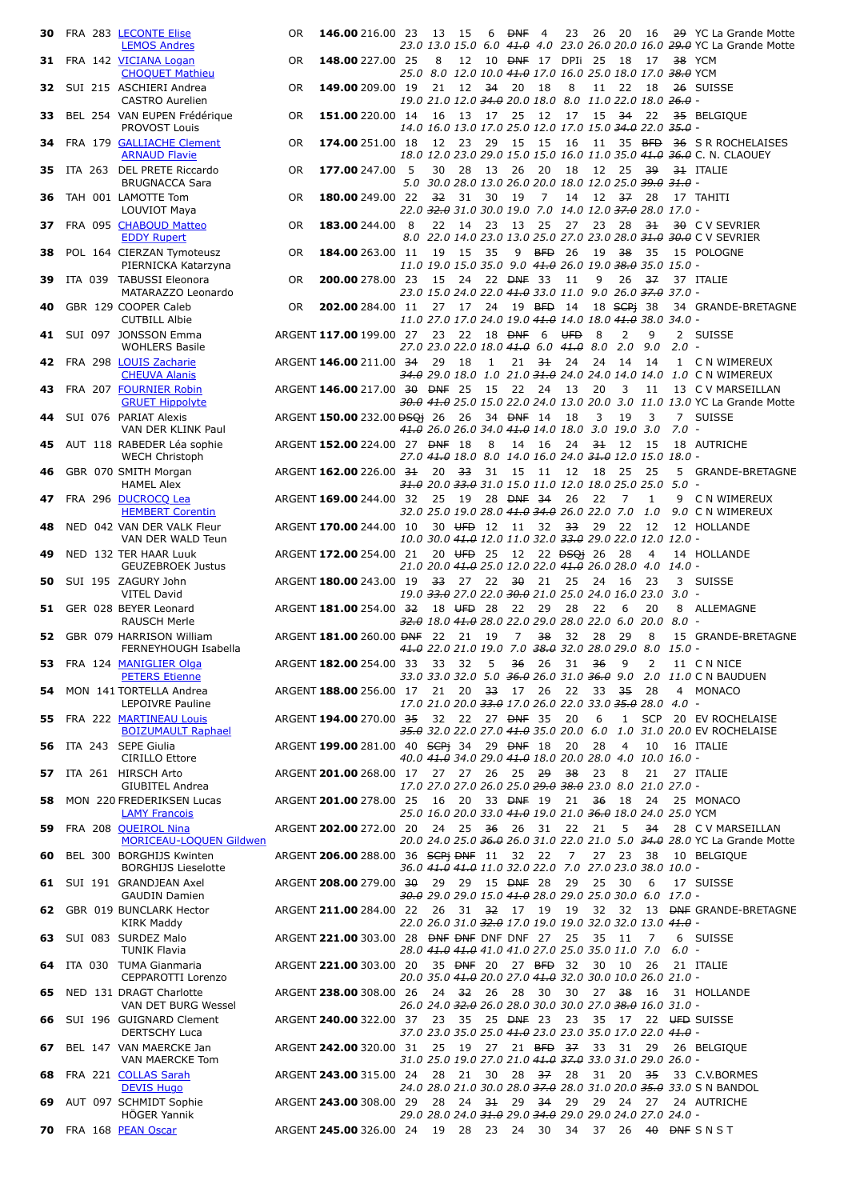| 30   |                | FRA 283 LECONTE Elise<br><b>LEMOS Andres</b>                    |
|------|----------------|-----------------------------------------------------------------|
| 31   | FRA 142        | <b>VICIANA Logan</b>                                            |
| 32   | SUI 215        | <b>CHOQUET Mathieu</b><br><b>ASCHIERI Andrea</b>                |
| 33   | <b>BEL 254</b> | <b>CASTRO Aurelien</b><br>VAN EUPEN Frédérique<br>PROVOST Louis |
| 34   | FRA 179        | <b>GALLIACHE Clement</b><br><b>ARNAUD Flavie</b>                |
| 35   | ITA 263        | <b>DEL PRETE Riccardo</b><br><b>BRUGNACCA Sara</b>              |
| 36   | TAH 001        | <b>LAMOTTE Tom</b><br>LOUVIOT Maya                              |
| 37   | <b>FRA 095</b> | <b>CHABOUD Matteo</b><br><b>EDDY Rupert</b>                     |
| 38   |                | POL 164 CIERZAN Tymoteusz<br>PIERNICKA Katarzyna                |
| 39   | ITA 039        | <b>TABUSSI Eleonora</b><br>MATARAZZO Leonardo                   |
| 40   |                | GBR 129 COOPER Caleb<br><b>CUTBILL Albie</b>                    |
| 41   | SUI 097        | <b>JONSSON Emma</b><br><b>WOHLERS Basile</b>                    |
| 42   | <b>FRA 298</b> | <b>LOUIS Zacharie</b><br><b>CHEUVA Alanis</b>                   |
| 43   | <b>FRA 207</b> | <b>FOURNIER Robin</b><br><b>GRUET Hippolyte</b>                 |
| 44   | SUI 076        | <b>PARIAT Alexis</b><br>VAN DER KLINK Paul                      |
| 45   |                | AUT 118 RABEDER Léa sophie<br><b>WECH Christoph</b>             |
| 46   |                | GBR 070 SMITH Morgan<br><b>HAMEL Alex</b>                       |
| 47   |                | FRA 296 DUCROCQ Lea<br><b>HEMBERT Corentin</b>                  |
| 48   |                | NED 042 VAN DER VALK Fleur<br>VAN DER WALD Teun                 |
|      |                | 49 NED 132 TER HAAR Luuk<br><b>GEUZEBROEK Justus</b>            |
| 50   | SUI 195        | ZAGURY John<br><b>VITEL David</b>                               |
| 51   |                | GER 028 BEYER Leonard<br><b>RAUSCH Merle</b>                    |
|      |                | 52 GBR 079 HARRISON William<br>FERNEYHOUGH Isabella             |
|      |                | 53 FRA 124 MANIGLIER Olga<br><b>PETERS Etienne</b>              |
|      |                | 54 MON 141 TORTELLA Andrea<br><b>LEPOIVRE Pauline</b>           |
|      |                | 55 FRA 222 MARTINEAU Louis<br><b>BOIZUMAULT Raphael</b>         |
| 56   | ITA 243        | <b>SEPE Giulia</b><br><b>CIRILLO Ettore</b>                     |
|      |                | 57 ITA 261 HIRSCH Arto<br><b>GIUBITEL Andrea</b>                |
|      |                | 58 MON 220 FREDERIKSEN Lucas<br><b>LAMY Francois</b>            |
| 59   |                | FRA 208 QUEIROL Nina<br><b>MORICEAU-LOQUEN Gildwen</b>          |
| 60   |                | BEL 300 BORGHIJS Kwinten<br><b>BORGHIJS Lieselotte</b>          |
| 61   | SUI 191        | <b>GRANDJEAN Axel</b><br><b>GAUDIN Damien</b>                   |
|      |                | 62 GBR 019 BUNCLARK Hector<br><b>KIRK Maddy</b>                 |
| 63   | SUI 083        | <b>SURDEZ Malo</b><br><b>TUNIK Flavia</b>                       |
| 64   | ITA 030        | <b>TUMA Gianmaria</b><br>CEPPAROTTI Lorenzo                     |
|      |                | 65 NED 131 DRAGT Charlotte<br>VAN DET BURG Wessel               |
| 66 - |                | SUI 196 GUIGNARD Clement<br><b>DERTSCHY Luca</b>                |
|      |                | 67 BEL 147 VAN MAERCKE Jan<br><b>VAN MAERCKE Tom</b>            |
|      |                | 68 FRA 221 COLLAS Sarah<br><b>DEVIS Hugo</b>                    |
|      |                | 69 AUT 097 SCHMIDT Sophie<br>HÖGER Yannik                       |
|      |                | 70 FRA 168 PEAN Oscar                                           |

| 30   |  | FRA 283 LECONTE Elise<br><b>LEMOS Andres</b>              | 0R        | <b>146.00</b> 216.00 23                                     | 13   | - 15                                                                                                           |       | 6 <del>DNF</del>                | $\overline{4}$         | 23             | 26               | - 20           | - 16     |                        | 29 YC La Grande Motte<br>23.0 13.0 15.0 6.0 41.0 4.0 23.0 26.0 20.0 16.0 29.0 YC La Grande Motte                |
|------|--|-----------------------------------------------------------|-----------|-------------------------------------------------------------|------|----------------------------------------------------------------------------------------------------------------|-------|---------------------------------|------------------------|----------------|------------------|----------------|----------|------------------------|-----------------------------------------------------------------------------------------------------------------|
|      |  | 31 FRA 142 VICIANA Logan                                  | 0R        | 148.00 227.00 25                                            | 8    | 12                                                                                                             |       | 10 <del>DNF</del> 17 DPIi 25 18 |                        |                |                  |                | 17       |                        | 38 YCM                                                                                                          |
|      |  | <b>CHOQUET Mathieu</b><br>32 SUI 215 ASCHIERI Andrea      | 0R        | 149.00 209.00 19                                            | 21   | <i>25.0   8.0   12.0  10.0 <del>41.0</del>  17.0  16.0  25.0  18.0  17.0  <del>38.0</del>  YCM</i><br>12 34    |       | 20                              | - 18                   | 8              |                  | 11 22 18       |          |                        | 26 SUISSE                                                                                                       |
| 33   |  | <b>CASTRO Aurelien</b><br>BEL 254 VAN EUPEN Frédérique    | 0R        | 151.00 220.00 14                                            | 16   | 19.0 21.0 12.0 <del>34.0</del> 20.0 18.0 8.0 11.0 22.0 18.0 <del>26.0</del> -<br>13 17 25                      |       |                                 | - 12                   | 17             |                  | $15 \quad 34$  | 22       |                        | 35 BELGIQUE                                                                                                     |
| 34   |  | PROVOST Louis<br>FRA 179 GALLIACHE Clement                | <b>OR</b> | 174.00 251.00 18                                            | 12   | 14.0 16.0 13.0 17.0 25.0 12.0 17.0 15.0 <del>34.0</del> 22.0 <del>35.0</del> -<br>23                           | 29    | 15                              | 15                     | 16             | 11               | 35 BFD         |          |                        | 36 S R ROCHELAISES                                                                                              |
|      |  | <b>ARNAUD Flavie</b><br>35 ITA 263 DEL PRETE Riccardo     | 0R        | <b>177.00</b> 247.00 5                                      | 30   | 28                                                                                                             | - 13  | - 26                            | - 20                   | 18             | 12 25            |                | -39      |                        | 18.0 12.0 23.0 29.0 15.0 15.0 16.0 11.0 35.0 <del>41.0 36.0</del> C. N. CLAOUEY<br>31 ITALIE                    |
| 36   |  | <b>BRUGNACCA Sara</b><br>TAH 001 LAMOTTE Tom              | 0R        | 180.00 249.00 22                                            | 32   | 5.0 30.0 28.0 13.0 26.0 20.0 18.0 12.0 25.0 <del>39.0 31.0</del> -<br>31                                       | 30    | - 19                            | 7                      | 14             |                  | $12 \quad 37$  | 28       |                        | 17 TAHITI                                                                                                       |
| 37.  |  | LOUVIOT Maya<br>FRA 095 CHABOUD Matteo                    | 0R        | 183.00 244.00 8                                             | 22   | 22.0 <del>32.0</del> 31.0 30.0 19.0  7.0  14.0 12.0 <del>37.0</del> 28.0 17.0 -<br>14 23 13                    |       |                                 | - 25                   | 27             | 23 28            |                | 31       |                        | 30 C V SEVRIER                                                                                                  |
|      |  | <b>EDDY Rupert</b>                                        |           |                                                             |      |                                                                                                                |       |                                 |                        |                |                  |                |          |                        | 8.0 22.0 14.0 23.0 13.0 25.0 27.0 23.0 28.0 <del>31.0 30.0</del> C V SEVRIER                                    |
| 38 . |  | POL 164 CIERZAN Tymoteusz<br>PIERNICKA Katarzyna          | 0R        | 184.00 263.00 11                                            | - 19 | 15<br>11.0 19.0 15.0 35.0 9.0 41.0 26.0 19.0 38.0 35.0 15.0 -                                                  | - 35  | 9                               | <b>BFD</b> 26          |                | 19               | - 38           | - 35     |                        | 15 POLOGNE                                                                                                      |
| 39   |  | ITA 039 TABUSSI Eleonora<br>MATARAZZO Leonardo            | 0R        | 200.00 278.00 23                                            | 15   | - 24<br>23.0 15.0 24.0 22.0 <del>41.0</del> 33.0 11.0 9.0 26.0 <del>37.0</del> 37.0 -                          |       | 22 DNF 33                       |                        | 11             | 9                | 26             | 37       |                        | 37 ITALIE                                                                                                       |
| 40   |  | GBR 129 COOPER Caleb<br><b>CUTBILL Albie</b>              | 0R        | 202.00 284.00 11                                            | 27   | 11.0 27.0 17.0 24.0 19.0 <del>41.0</del> 14.0 18.0 <del>41.0</del> 38.0 34.0 -                                 |       | 17 24 19 BFD                    |                        | 14             |                  | 18 SCPi 38     |          |                        | 34 GRANDE-BRETAGNE                                                                                              |
| 41   |  | SUI 097 JONSSON Emma<br><b>WOHLERS Basile</b>             |           | ARGENT 117.00 199.00 27                                     | 23   | 22 18 <del>DNF</del><br>27.0 23.0 22.0 18.0 <del>41.0</del> 6.0 <del>41.0</del> 8.0 2.0                        |       |                                 | - 6                    | <del>UFD</del> | 8                | 2              | 9<br>9.0 | $2.0 -$                | 2 SUISSE                                                                                                        |
|      |  | 42 FRA 298 LOUIS Zacharie<br><b>CHEUVA Alanis</b>         |           | ARGENT 146.00 211.00 34                                     | 29   | 18                                                                                                             | 1     | $21 \t 31$                      |                        | 24             |                  | 24 14          | 14       |                        | 1 C N WIMEREUX<br>34.0 29.0 18.0 1.0 21.0 31.0 24.0 24.0 14.0 14.0 1.0 CN WIMEREUX                              |
|      |  | 43 FRA 207 FOURNIER Robin<br><b>GRUET Hippolyte</b>       |           | ARGENT 146.00 217.00 30 DNF 25                              |      |                                                                                                                | - 15  | 22                              | - 24                   | 13             | 20               | 3              | 11       |                        | 13 C V MARSEILLAN<br><del>30.0 41.0</del> 25.0 15.0 22.0 24.0 13.0 20.0 3.0 11.0 13.0 YC La Grande Motte        |
| 44   |  | SUI 076 PARIAT Alexis<br>VAN DER KLINK Paul               |           | ARGENT 150.00 232.00 <del>DSQi</del> 26                     |      | - 26<br><del>41.0</del> 26.0 26.0 34.0 <del>41.0</del> 14.0 18.0 3.0 19.0 3.0                                  |       | 34 <del>DNF</del> 14            |                        | 18             | 3                | 19             | 3        | $7^{\circ}$<br>$7.0 -$ | <b>SUISSE</b>                                                                                                   |
|      |  | 45 AUT 118 RABEDER Léa sophie<br><b>WECH Christoph</b>    |           | ARGENT 152.00 224.00 27 <del>DNF</del> 18                   |      | 27.0 41.0 18.0 8.0 14.0 16.0 24.0 <del>31.0</del> 12.0 15.0 18.0 -                                             | 8     | 14 16                           |                        | 24             | 31               | 12             | - 15     |                        | 18 AUTRICHE                                                                                                     |
| 46   |  | GBR 070 SMITH Morgan                                      |           | ARGENT 162.00 226.00 31                                     | 20   | 33                                                                                                             | 31 15 |                                 | - 11                   | 12             |                  | 18 25          | 25       |                        | 5 GRANDE-BRETAGNE                                                                                               |
| 47   |  | <b>HAMEL Alex</b><br>FRA 296 DUCROCO Lea                  |           | ARGENT 169.00 244.00 32                                     | 25   | <del>31.0</del> 20.0 <del>33.0</del> 31.0 15.0 11.0 12.0 18.0 25.0 25.0 5.0 -                                  |       | 19 28 <del>DNF 34</del>         |                        | 26             | 22               | 7              | 1        |                        | 9 C N WIMEREUX                                                                                                  |
| 48   |  | <b>HEMBERT Corentin</b><br>NED 042 VAN DER VALK Fleur     |           | ARGENT 170.00 244.00 10                                     |      | 32.0 25.0 19.0 28.0 <del>41.0 34.0</del> 26.0 22.0 7.0 1.0<br>30 UFD 12 11                                     |       |                                 | 32                     | -33            | 29               | - 22           | 12       |                        | 9.0 C N WIMEREUX<br>12 HOLLANDE                                                                                 |
| 49   |  | VAN DER WALD Teun<br>NED 132 TER HAAR Luuk                |           | ARGENT 172.00 254.00 21                                     |      | 10.0 30.0 <del>41.0</del> 12.0 11.0 32.0 <del>33.0</del> 29.0 22.0 12.0 12.0 -<br>20 UFD 25                    |       | 12                              | 22 <del>DSQ</del> i 26 |                |                  | -28            | 4        |                        | 14 HOLLANDE                                                                                                     |
| 50   |  | <b>GEUZEBROEK Justus</b><br>SUI 195 ZAGURY John           |           | ARGENT 180.00 243.00 19                                     |      | 21.0 20.0 <del>41.0</del> 25.0 12.0 22.0 <del>41.0</del> 26.0 28.0 4.0 14.0 -<br>33 27 22                      |       | 30                              | - 21                   | 25             | 24 16            |                | 23       |                        | 3 SUISSE                                                                                                        |
|      |  | <b>VITEL David</b><br>51 GER 028 BEYER Leonard            |           | ARGENT 181.00 254.00 32                                     |      | 19.0 <del>33.0</del> 27.0 22.0 <del>30.0</del> 21.0 25.0 24.0 16.0 23.0 3.0 -<br>18 UFD 28                     |       | 22                              | - 29                   | 28             | 22               | 6              | 20       | 8                      | ALLEMAGNE                                                                                                       |
|      |  | <b>RAUSCH Merle</b><br>52 GBR 079 HARRISON William        |           | ARGENT 181.00 260.00 DNF 22 21                              |      | <del>32.0</del> 18.0 <del>41.0</del> 28.0 22.0 29.0 28.0 22.0 6.0 20.0                                         | 19    | 7                               | 38                     | 32             | 28               | 29             | 8        | 8.0 -                  | 15 GRANDE-BRETAGNE                                                                                              |
|      |  | FERNEYHOUGH Isabella<br>53 FRA 124 MANIGLIER Olga         |           | ARGENT 182.00 254.00 33 33 32 5 36 26 31 36 9 2 11 CNNICE   |      | <del>41.0</del> 22.0 21.0 19.0 7.0 <del>38.0</del> 32.0 28.0 29.0 8.0 15.0 -                                   |       |                                 |                        |                |                  |                |          |                        |                                                                                                                 |
|      |  | <b>PETERS Etienne</b>                                     |           |                                                             |      |                                                                                                                |       |                                 |                        |                |                  |                |          |                        | <i>33.0 33.0 32.0 5.0 <del>36.0</del> 26.0 31.0 <del>36.0</del> 9.0 2.0 11.0</i> C N BAUDUEN                    |
|      |  | 54 MON 141 TORTELLA Andrea<br>LEPOIVRE Pauline            |           | ARGENT 188.00 256.00 17 21 20 <del>33</del> 17 26           |      | 17.0 21.0 20.0 <del>33.0</del> 17.0 26.0 22.0 33.0 <del>35.0</del> 28.0 4.0 -                                  |       |                                 |                        | 22             | 33 <del>35</del> |                | 28       |                        | 4 MONACO                                                                                                        |
|      |  | 55 FRA 222 MARTINEAU Louis<br><b>BOIZUMAULT Raphael</b>   |           | ARGENT 194.00 270.00 35                                     |      | 32  22  27 <del>DNF</del> 35  20                                                                               |       |                                 |                        |                | 6                | $\mathbf{1}$   |          |                        | SCP 20 EV ROCHELAISE<br>35.0 32.0 22.0 27.0 41.0 35.0 20.0 6.0 1.0 31.0 20.0 EV ROCHELAISE                      |
|      |  | 56 ITA 243 SEPE Giulia<br><b>CIRILLO Ettore</b>           |           | ARGENT 199.00 281.00 40 SCPi 34 29 DNF 18                   |      | 40.0 41.0 34.0 29.0 41.0 18.0 20.0 28.0 4.0 10.0 16.0 -                                                        |       |                                 |                        | 20             | 28               | $\overline{4}$ | 10       |                        | 16 ITALIE                                                                                                       |
|      |  | 57 ITA 261 HIRSCH Arto<br><b>GIUBITEL Andrea</b>          |           | ARGENT 201.00 268.00 17 27 27 26 25 <del>29</del>           |      | 17.0 27.0 27.0 26.0 25.0 <del>29.0 38.0</del> 23.0 8.0 21.0 27.0 -                                             |       |                                 |                        | 38             | - 23             | -8             | 21       |                        | 27 ITALIE                                                                                                       |
| 58   |  | MON 220 FREDERIKSEN Lucas<br><b>LAMY Francois</b>         |           | ARGENT 201.00 278.00 25                                     |      | 16 20 33 <del>DNF</del> 19<br>25.0 16.0 20.0 33.0 <del>41.0</del> 19.0 21.0 <del>36.0</del> 18.0 24.0 25.0 YCM |       |                                 |                        | 21             | - 36             | - 18           | - 24     |                        | 25 MONACO                                                                                                       |
| 59   |  | FRA 208 QUEIROL Nina<br><b>MORICEAU-LOQUEN Gildwen</b>    |           | ARGENT 202.00 272.00 20                                     |      | 24 25 <del>36</del>                                                                                            |       | - 26                            | - 31                   | 22             | 21               | 5              | 34       |                        | 28 C V MARSEILLAN<br>20.0 24.0 25.0 36.0 26.0 31.0 22.0 21.0 5.0 34.0 28.0 YC La Grande Motte                   |
|      |  | 60 BEL 300 BORGHIJS Kwinten<br><b>BORGHIJS Lieselotte</b> |           | ARGENT 206.00 288.00 36 SCPi DNF 11 32 22                   |      | 36.0 41.0 41.0 11.0 32.0 22.0 7.0 27.0 23.0 38.0 10.0 -                                                        |       |                                 |                        | 7              |                  | 27 23          | - 38     |                        | 10 BELGIQUE                                                                                                     |
|      |  | 61 SUI 191 GRANDJEAN Axel<br><b>GAUDIN Damien</b>         |           | ARGENT 208.00 279.00 30 29 29 15 DNF 28                     |      | <del>30.0</del> 29.0 29.0 15.0 <del>41.0</del> 28.0 29.0 25.0 30.0 6.0 17.0 -                                  |       |                                 |                        |                | 29 25 30         |                | 6        |                        | 17 SUISSE                                                                                                       |
|      |  | 62 GBR 019 BUNCLARK Hector<br><b>KIRK Maddy</b>           |           | ARGENT 211.00 284.00 22                                     |      | 26 31 <del>32</del> 17 19<br>22.0 26.0 31.0 <del>32.0</del> 17.0 19.0 19.0 32.0 32.0 13.0 <del>41.0</del> -    |       |                                 |                        | 19             |                  |                |          |                        | 32 32 13 <del>DNF</del> GRANDE-BRETAGNE                                                                         |
|      |  | 63 SUI 083 SURDEZ Malo                                    |           | ARGENT 221.00 303.00 28 DNF DNF DNF DNF 27                  |      |                                                                                                                |       |                                 |                        | 25             | 35 11            |                | 7        |                        | 6 SUISSE                                                                                                        |
|      |  | <b>TUNIK Flavia</b><br>64 ITA 030 TUMA Gianmaria          |           | ARGENT 221.00 303.00 20                                     |      | 28.0 <del>41.0 41.0</del> 41.0 41.0 27.0 25.0 35.0 11.0 7.0<br>35 <del>DNF</del> 20                            |       | 27 BFD 32                       |                        |                |                  | 30 10          | - 26     | 6.0 -                  | 21 ITALIE                                                                                                       |
|      |  | CEPPAROTTI Lorenzo<br>65 NED 131 DRAGT Charlotte          |           | ARGENT 238.00 308.00 26                                     |      | 20.0 35.0 <del>41.0</del> 20.0 27.0 <del>41.0</del> 32.0 30.0 10.0 26.0 21.0 -<br>24 <del>32</del> 26 28 30    |       |                                 |                        | 30             |                  | $27 - 38$      | - 16     |                        | 31 HOLLANDE                                                                                                     |
|      |  | VAN DET BURG Wessel<br>66 SUI 196 GUIGNARD Clement        |           | ARGENT 240.00 322.00 37                                     |      | 26.0 24.0 <del>32.0</del> 26.0 28.0 30.0 30.0 27.0 <del>38.0</del> 16.0 31.0 -<br>23 35 25 <del>DNF</del> 23   |       |                                 |                        | 23             |                  |                |          |                        | 35 17 22 UFD SUISSE                                                                                             |
|      |  | <b>DERTSCHY Luca</b><br>67 BEL 147 VAN MAERCKE Jan        |           | ARGENT 242.00 320.00 31                                     |      | 25 19 27 21 <del>BFD 37</del>                                                                                  |       |                                 |                        |                |                  | 33 31 29       |          |                        | 26 BELGIQUE                                                                                                     |
|      |  | VAN MAERCKE Tom<br>68 FRA 221 COLLAS Sarah                |           | ARGENT 243.00 315.00 24                                     | 28   | 31.0 25.0 19.0 27.0 21.0 41.0 37.0 33.0 31.0 29.0 26.0 -<br>21 30                                              |       | 28 <del>37</del>                |                        | 28             | 31 20            |                | - 35     |                        | 33 C.V.BORMES                                                                                                   |
|      |  | <b>DEVIS Hugo</b><br>69 AUT 097 SCHMIDT Sophie            |           | ARGENT 243.00 308.00 29                                     |      | 28 24 31                                                                                                       |       | 29 <del>34</del>                |                        | 29             |                  |                |          |                        | 24.0 28.0 21.0 30.0 28.0 <del>37.0</del> 28.0 31.0 20.0 <del>35.0</del> 33.0 S N BANDOL<br>29 24 27 24 AUTRICHE |
|      |  | <b>HÖGER Yannik</b>                                       |           |                                                             |      | 29.0 28.0 24.0 <del>31.0</del> 29.0 <del>34.0</del> 29.0 29.0 24.0 27.0 24.0 -                                 |       |                                 |                        |                |                  |                |          |                        |                                                                                                                 |
|      |  | 70 FRA 168 PEAN Oscar                                     |           | ARGENT 245.00 326.00 24 19 28 23 24 30 34 37 26 40 BNF SNST |      |                                                                                                                |       |                                 |                        |                |                  |                |          |                        |                                                                                                                 |